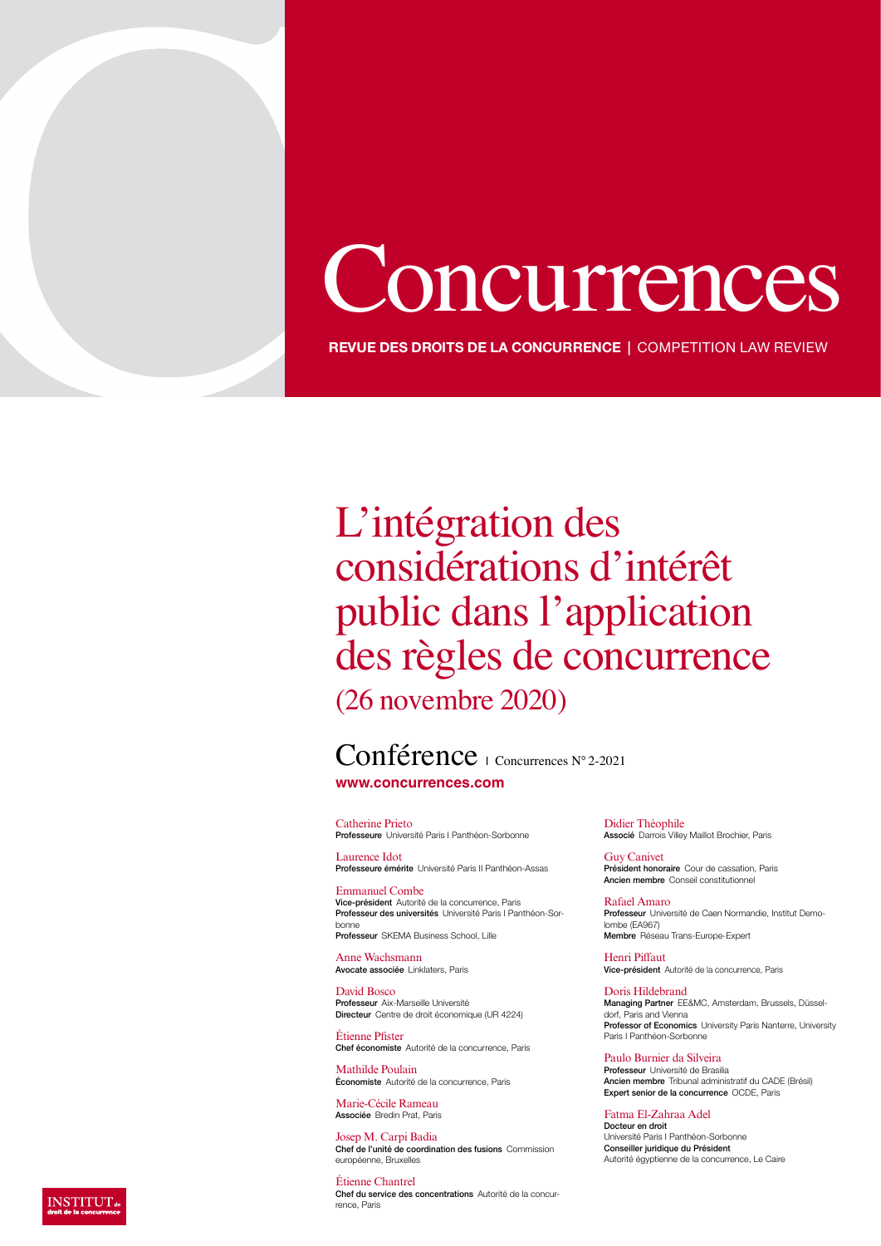# Concurrences

**REVUE DES DROITS DE LA CONCURRENCE** | COMPETITION LAW REVIEW

L'intégration des considérations d'intérêt public dans l'application des règles de concurrence (26 novembre 2020)

Conférence | Concurrences N° 2-2021 **www.concurrences.com**

Catherine Prieto Professeure Université Paris I Panthéon-Sorbonne

Laurence Idot Professeure émérite Université Paris II Panthéon-Assas

Emmanuel Combe Vice-président Autorité de la concurrence, Paris Professeur des universités Université Paris I Panthéon-Sorbonne Professeur SKEMA Business School, Lille

Anne Wachsmann Avocate associée Linklaters, Paris

David Bosco Professeur Aix-Marseille Université Directeur Centre de droit économique (UR 4224)

Étienne Pfister Chef économiste Autorité de la concurrence, Paris

Mathilde Poulain Économiste Autorité de la concurrence, Paris

Marie-Cécile Rameau Associée Bredin Prat, Paris

Josep M. Carpi Badia Chef de l'unité de coordination des fusions Commission européenne, Bruxelles

Étienne Chantrel Chef du service des concentrations Autorité de la concurrence, Paris

Didier Théophile Associé Darrois Villey Maillot Brochier, Paris

Guy Canivet Président honoraire Cour de cassation, Paris Ancien membre Conseil constitutionnel

Rafael Amaro Professeur Université de Caen Normandie, Institut Demolombe (EA967) Membre Réseau Trans-Europe-Expert

Henri Piffaut Vice-président Autorité de la concurrence, Paris

Doris Hildebrand Managing Partner EE&MC, Amsterdam, Brussels, Düsseldorf, Paris and Vienna Professor of Economics University Paris Nanterre, University Paris I Panthéon-Sorbonne

Paulo Burnier da Silveira Professeur Université de Brasilia Ancien membre Tribunal administratif du CADE (Brésil) Expert senior de la concurrence OCDE, Paris

Fatma El-Zahraa Adel Docteur en droit Université Paris I Panthéon-Sorbonne Conseiller juridique du Président Autorité égyptienne de la concurrence, Le Caire

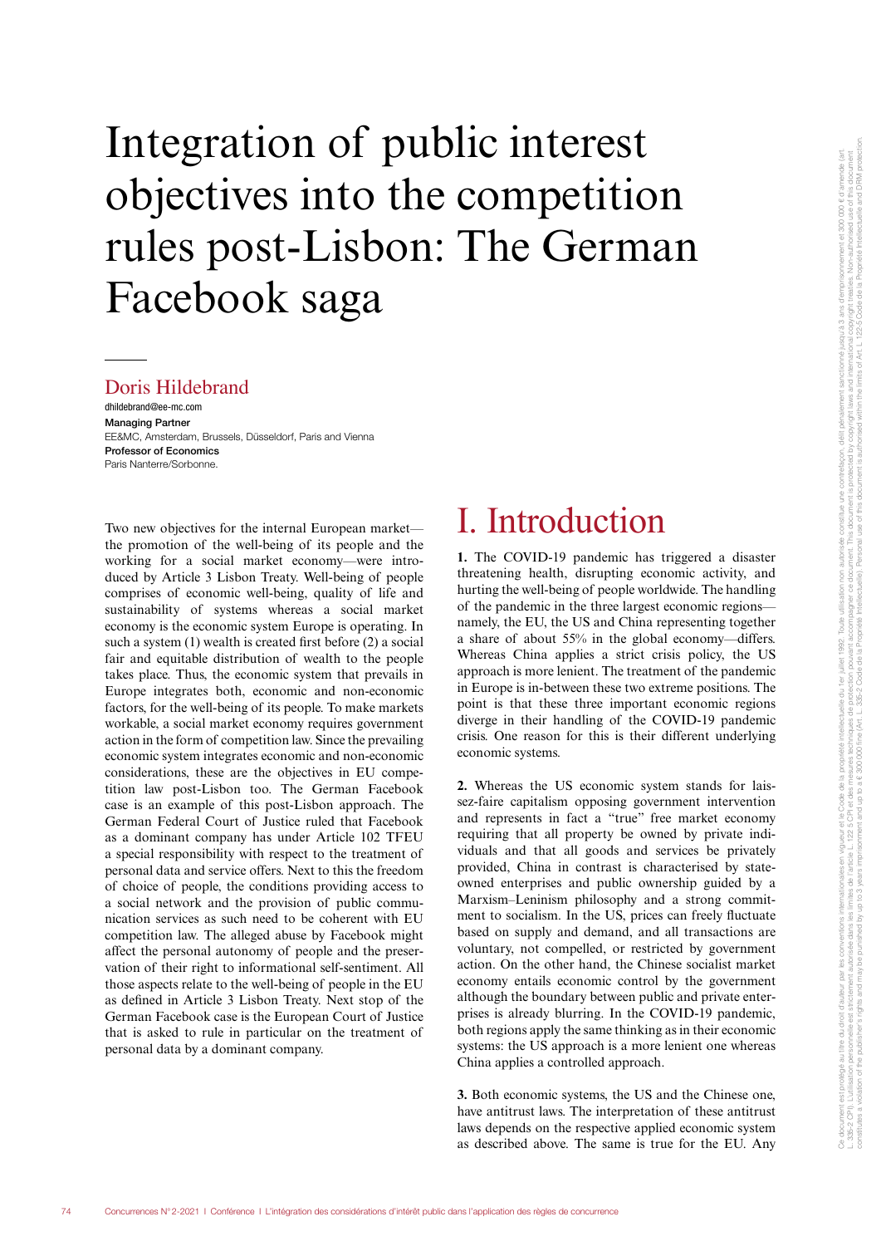## Integration of public interest objectives into the competition rules post-Lisbon: The German Facebook saga

#### Doris Hildebrand

dhildebrand@ee-mc.com Managing Partner EE&MC, Amsterdam, Brussels, Düsseldorf, Paris and Vienna Professor of Economics Paris Nanterre/Sorbonne.

Two new objectives for the internal European market the promotion of the well-being of its people and the working for a social market economy—were introduced by Article 3 Lisbon Treaty. Well-being of people comprises of economic well-being, quality of life and sustainability of systems whereas a social market economy is the economic system Europe is operating. In such a system (1) wealth is created first before (2) a social fair and equitable distribution of wealth to the people takes place. Thus, the economic system that prevails in Europe integrates both, economic and non-economic factors, for the well-being of its people. To make markets workable, a social market economy requires government action in the form of competition law. Since the prevailing economic system integrates economic and non-economic considerations, these are the objectives in EU competition law post-Lisbon too. The German Facebook case is an example of this post-Lisbon approach. The German Federal Court of Justice ruled that Facebook as a dominant company has under Article 102 TFEU a special responsibility with respect to the treatment of personal data and service offers. Next to this the freedom of choice of people, the conditions providing access to a social network and the provision of public communication services as such need to be coherent with EU competition law. The alleged abuse by Facebook might affect the personal autonomy of people and the preservation of their right to informational self-sentiment. All those aspects relate to the well-being of people in the EU as defined in Article 3 Lisbon Treaty. Next stop of the German Facebook case is the European Court of Justice that is asked to rule in particular on the treatment of personal data by a dominant company.

## I. Introduction

**1.** The COVID-19 pandemic has triggered a disaster threatening health, disrupting economic activity, and hurting the well-being of people worldwide. The handling of the pandemic in the three largest economic regions namely, the EU, the US and China representing together a share of about 55% in the global economy—differs. Whereas China applies a strict crisis policy, the US approach is more lenient. The treatment of the pandemic in Europe is in-between these two extreme positions. The point is that these three important economic regions diverge in their handling of the COVID-19 pandemic crisis. One reason for this is their different underlying economic systems.

**2.** Whereas the US economic system stands for laissez-faire capitalism opposing government intervention and represents in fact a "true" free market economy requiring that all property be owned by private individuals and that all goods and services be privately provided, China in contrast is characterised by stateowned enterprises and public ownership guided by a Marxism–Leninism philosophy and a strong commitment to socialism. In the US, prices can freely fluctuate based on supply and demand, and all transactions are voluntary, not compelled, or restricted by government action. On the other hand, the Chinese socialist market economy entails economic control by the government although the boundary between public and private enterprises is already blurring. In the COVID-19 pandemic, both regions apply the same thinking as in their economic systems: the US approach is a more lenient one whereas China applies a controlled approach.

**3.** Both economic systems, the US and the Chinese one, have antitrust laws. The interpretation of these antitrust laws depends on the respective applied economic system as described above. The same is true for the EU. Any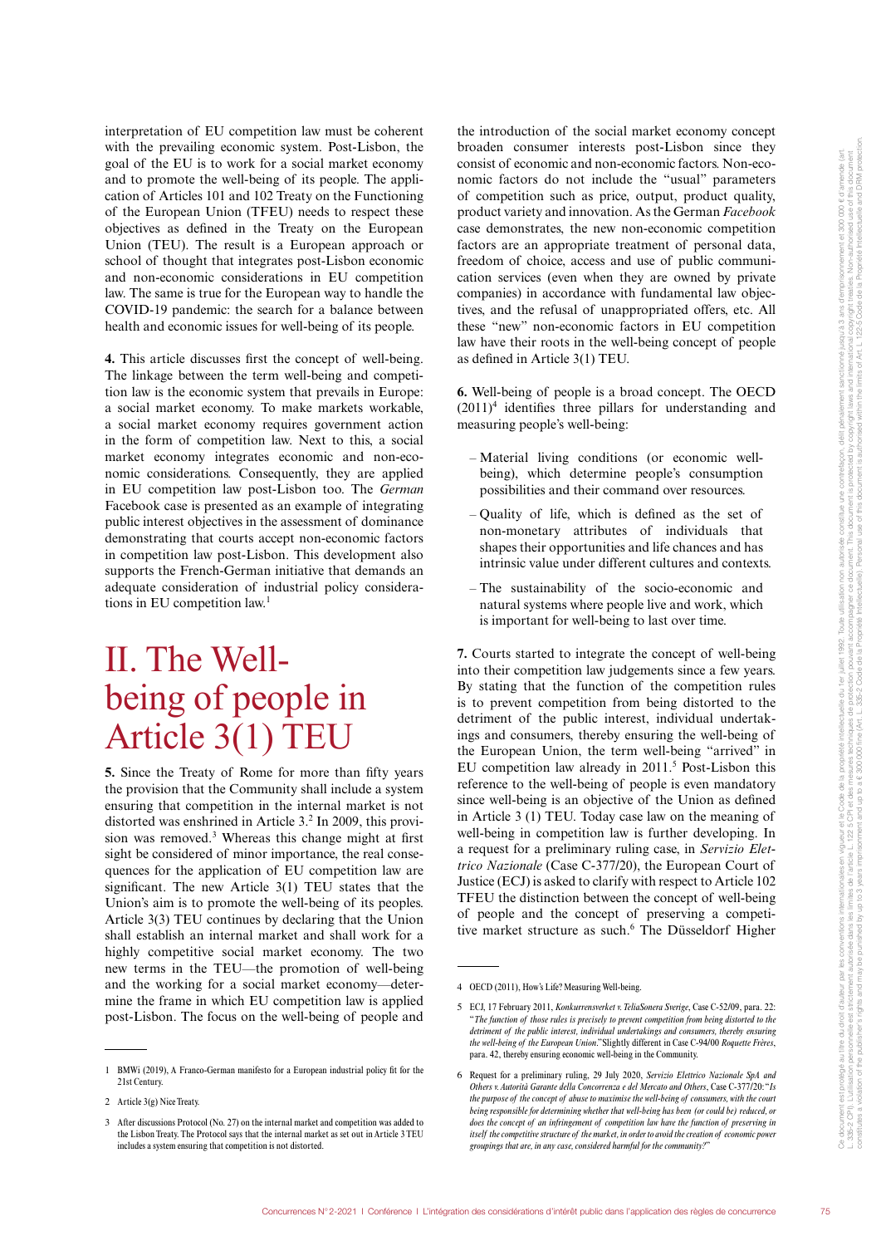interpretation of EU competition law must be coherent with the prevailing economic system. Post-Lisbon, the goal of the EU is to work for a social market economy and to promote the well-being of its people. The application of Articles 101 and 102 Treaty on the Functioning of the European Union (TFEU) needs to respect these objectives as defined in the Treaty on the European Union (TEU). The result is a European approach or school of thought that integrates post-Lisbon economic and non-economic considerations in EU competition law. The same is true for the European way to handle the COVID-19 pandemic: the search for a balance between health and economic issues for well-being of its people.

**4.** This article discusses first the concept of well-being. The linkage between the term well-being and competition law is the economic system that prevails in Europe: a social market economy. To make markets workable, a social market economy requires government action in the form of competition law. Next to this, a social market economy integrates economic and non-economic considerations. Consequently, they are applied in EU competition law post-Lisbon too. The *German* Facebook case is presented as an example of integrating public interest objectives in the assessment of dominance demonstrating that courts accept non-economic factors in competition law post-Lisbon. This development also supports the French-German initiative that demands an adequate consideration of industrial policy considerations in EU competition law.<sup>1</sup>

## II. The Wellbeing of people in Article 3(1) TEU

**5.** Since the Treaty of Rome for more than fifty years the provision that the Community shall include a system ensuring that competition in the internal market is not distorted was enshrined in Article 3.<sup>2</sup> In 2009, this provision was removed.<sup>3</sup> Whereas this change might at first sight be considered of minor importance, the real consequences for the application of EU competition law are significant. The new Article 3(1) TEU states that the Union's aim is to promote the well-being of its peoples. Article 3(3) TEU continues by declaring that the Union shall establish an internal market and shall work for a highly competitive social market economy. The two new terms in the TEU—the promotion of well-being and the working for a social market economy—determine the frame in which EU competition law is applied post-Lisbon. The focus on the well-being of people and

the introduction of the social market economy concept broaden consumer interests post-Lisbon since they consist of economic and non-economic factors. Non-economic factors do not include the "usual" parameters of competition such as price, output, product quality, product variety and innovation. As the German *Facebook* case demonstrates, the new non-economic competition factors are an appropriate treatment of personal data, freedom of choice, access and use of public communication services (even when they are owned by private companies) in accordance with fundamental law objectives, and the refusal of unappropriated offers, etc. All these "new" non-economic factors in EU competition law have their roots in the well-being concept of people as defined in Article 3(1) TEU.

**6.** Well-being of people is a broad concept. The OECD  $(2011)^4$  identifies three pillars for understanding and measuring people's well-being:

- Material living conditions (or economic wellbeing), which determine people's consumption possibilities and their command over resources.
- Quality of life, which is defined as the set of non-monetary attributes of individuals that shapes their opportunities and life chances and has intrinsic value under different cultures and contexts.
- The sustainability of the socio-economic and natural systems where people live and work, which is important for well-being to last over time.

**7.** Courts started to integrate the concept of well-being into their competition law judgements since a few years. By stating that the function of the competition rules is to prevent competition from being distorted to the detriment of the public interest, individual undertakings and consumers, thereby ensuring the well-being of the European Union, the term well-being "arrived" in EU competition law already in 2011.<sup>5</sup> Post-Lisbon this reference to the well-being of people is even mandatory since well-being is an objective of the Union as defined in Article 3 (1) TEU. Today case law on the meaning of well-being in competition law is further developing. In a request for a preliminary ruling case, in *Servizio Elettrico Nazionale* (Case C-377/20), the European Court of Justice (ECJ) is asked to clarify with respect to Article 102 TFEU the distinction between the concept of well-being of people and the concept of preserving a competitive market structure as such.6 The Düsseldorf Higher

<sup>1</sup> BMWi (2019), A Franco-German manifesto for a European industrial policy fit for the 21st Century.

<sup>2.</sup> Article 3(g) Nice Treaty

<sup>3</sup> After discussions Protocol (No. 27) on the internal market and competition was added to the Lisbon Treaty. The Protocol says that the internal market as set out in Article 3 TEU includes a system ensuring that competition is not distorted.

<sup>4</sup> OECD (2011), How's Life? Measuring Well-being.

<sup>5</sup> ECJ, 17 February 2011, *Konkurrensverket v. TeliaSonera Sverige*, Case C-52/09, para. 22: "*The function of those rules is precisely to prevent competition from being distorted to the detriment of the public interest, individual undertakings and consumers, thereby ensuring the well-being of the European Union*." Slightly different in Case C-94/00 *Roquette Frères*, para. 42, thereby ensuring economic well-being in the Community.

<sup>6</sup> Request for a preliminary ruling, 29 July 2020, *Servizio Elettrico Nazionale SpA and Others v. Autorità Garante della Concorrenza e del Mercato and Others*, Case C-377/20: "*Is the purpose of the concept of abuse to maximise the well-being of consumers, with the court being responsible for determining whether that well-being has been (or could be) reduced, or does the concept of an infringement of competition law have the function of preserving in itself the competitive structure of the market, in order to avoid the creation of economic power groupings that are, in any case, considered harmful for the community?*"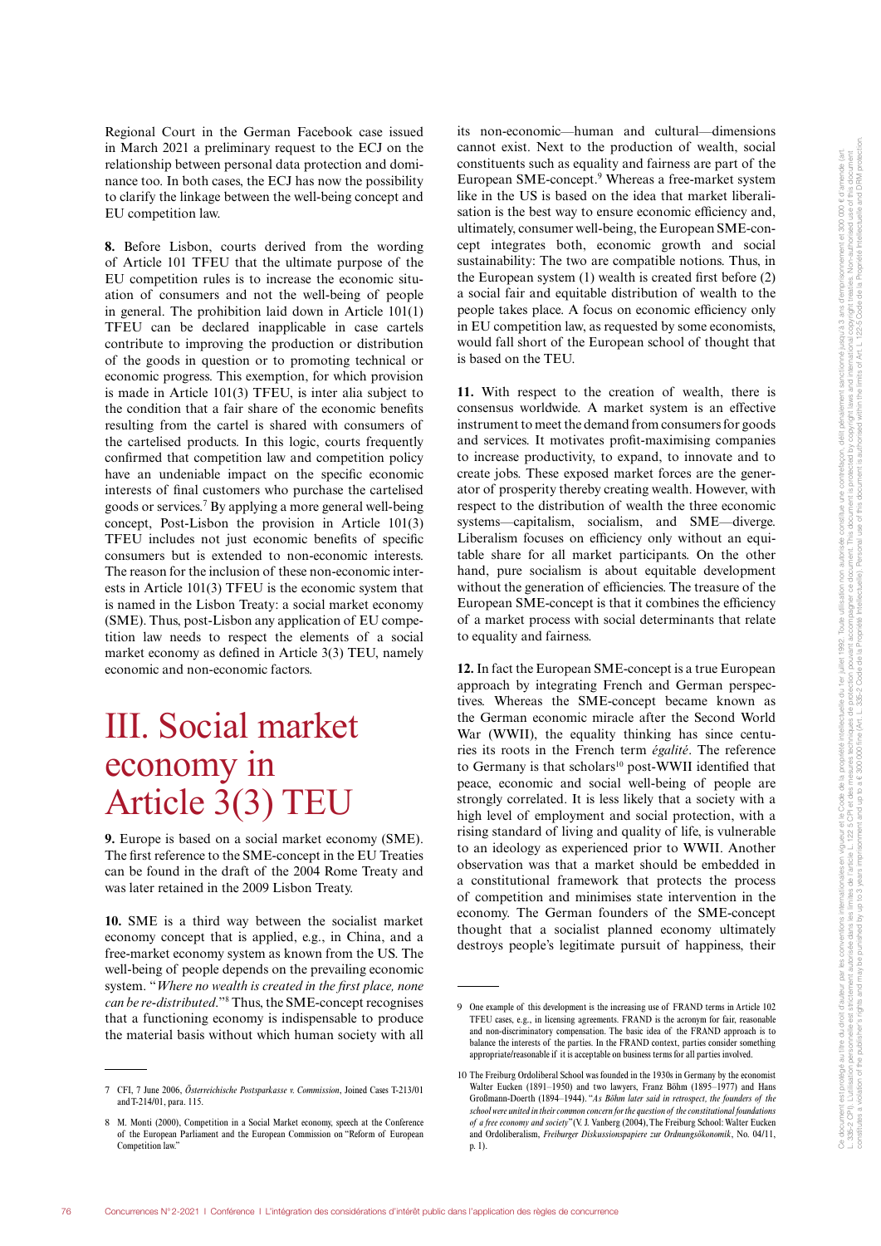Regional Court in the German Facebook case issued in March 2021 a preliminary request to the ECJ on the relationship between personal data protection and dominance too. In both cases, the ECJ has now the possibility to clarify the linkage between the well-being concept and EU competition law.

**8.** Before Lisbon, courts derived from the wording of Article 101 TFEU that the ultimate purpose of the EU competition rules is to increase the economic situation of consumers and not the well-being of people in general. The prohibition laid down in Article 101(1) TFEU can be declared inapplicable in case cartels contribute to improving the production or distribution of the goods in question or to promoting technical or economic progress. This exemption, for which provision is made in Article 101(3) TFEU, is inter alia subject to the condition that a fair share of the economic benefits resulting from the cartel is shared with consumers of the cartelised products. In this logic, courts frequently confirmed that competition law and competition policy have an undeniable impact on the specific economic interests of final customers who purchase the cartelised goods or services.7 By applying a more general well-being concept, Post-Lisbon the provision in Article 101(3) TFEU includes not just economic benefits of specific consumers but is extended to non-economic interests. The reason for the inclusion of these non-economic interests in Article 101(3) TFEU is the economic system that is named in the Lisbon Treaty: a social market economy (SME). Thus, post-Lisbon any application of EU competition law needs to respect the elements of a social market economy as defined in Article 3(3) TEU, namely economic and non-economic factors.

## III. Social market economy in Article 3(3) TEU

**9.** Europe is based on a social market economy (SME). The first reference to the SME-concept in the EU Treaties can be found in the draft of the 2004 Rome Treaty and was later retained in the 2009 Lisbon Treaty.

**10.** SME is a third way between the socialist market economy concept that is applied, e.g., in China, and a free-market economy system as known from the US. The well-being of people depends on the prevailing economic system. "*Where no wealth is created in the first place, none can be re-distributed*."8 Thus, the SME-concept recognises that a functioning economy is indispensable to produce the material basis without which human society with all

its non-economic—human and cultural—dimensions cannot exist. Next to the production of wealth, social constituents such as equality and fairness are part of the European SME-concept.9 Whereas a free-market system like in the US is based on the idea that market liberalisation is the best way to ensure economic efficiency and, ultimately, consumer well-being, the European SME-concept integrates both, economic growth and social sustainability: The two are compatible notions. Thus, in the European system (1) wealth is created first before (2) a social fair and equitable distribution of wealth to the people takes place. A focus on economic efficiency only in EU competition law, as requested by some economists, would fall short of the European school of thought that is based on the TEU.

**11.** With respect to the creation of wealth, there is consensus worldwide. A market system is an effective instrument to meet the demand from consumers for goods and services. It motivates profit-maximising companies to increase productivity, to expand, to innovate and to create jobs. These exposed market forces are the generator of prosperity thereby creating wealth. However, with respect to the distribution of wealth the three economic systems—capitalism, socialism, and SME—diverge. Liberalism focuses on efficiency only without an equitable share for all market participants. On the other hand, pure socialism is about equitable development without the generation of efficiencies. The treasure of the European SME-concept is that it combines the efficiency of a market process with social determinants that relate to equality and fairness.

**12.** In fact the European SME-concept is a true European approach by integrating French and German perspectives. Whereas the SME-concept became known as the German economic miracle after the Second World War (WWII), the equality thinking has since centuries its roots in the French term *égalité*. The reference to Germany is that scholars<sup>10</sup> post-WWII identified that peace, economic and social well-being of people are strongly correlated. It is less likely that a society with a high level of employment and social protection, with a rising standard of living and quality of life, is vulnerable to an ideology as experienced prior to WWII. Another observation was that a market should be embedded in a constitutional framework that protects the process of competition and minimises state intervention in the economy. The German founders of the SME-concept thought that a socialist planned economy ultimately destroys people's legitimate pursuit of happiness, their

<sup>7</sup> CFI, 7 June 2006, *Österreichische Postsparkasse v. Commission*, Joined Cases T-213/01 and T-214/01, para. 115.

<sup>8</sup> M. Monti (2000), Competition in a Social Market economy, speech at the Conference of the European Parliament and the European Commission on "Reform of European Competition law."

<sup>9</sup> One example of this development is the increasing use of FRAND terms in Article 102 TFEU cases, e.g., in licensing agreements. FRAND is the acronym for fair, reasonable and non-discriminatory compensation. The basic idea of the FRAND approach is to balance the interests of the parties. In the FRAND context, parties consider something appropriate/reasonable if it is acceptable on business terms for all parties involved.

<sup>10</sup> The Freiburg Ordoliberal School was founded in the 1930s in Germany by the economist Walter Eucken (1891–1950) and two lawyers, Franz Böhm (1895–1977) and Hans Großmann-Doerth (1894–1944). "*As Böhm later said in retrospect, the founders of the school were united in their common concern for the question of the constitutional foundations of a free economy and society*" (V. J. Vanberg (2004), The Freiburg School: Walter Eucken and Ordoliberalism, *Freiburger Diskussionspapiere zur Ordnungsökonomik*, No. 04/11, p. 1).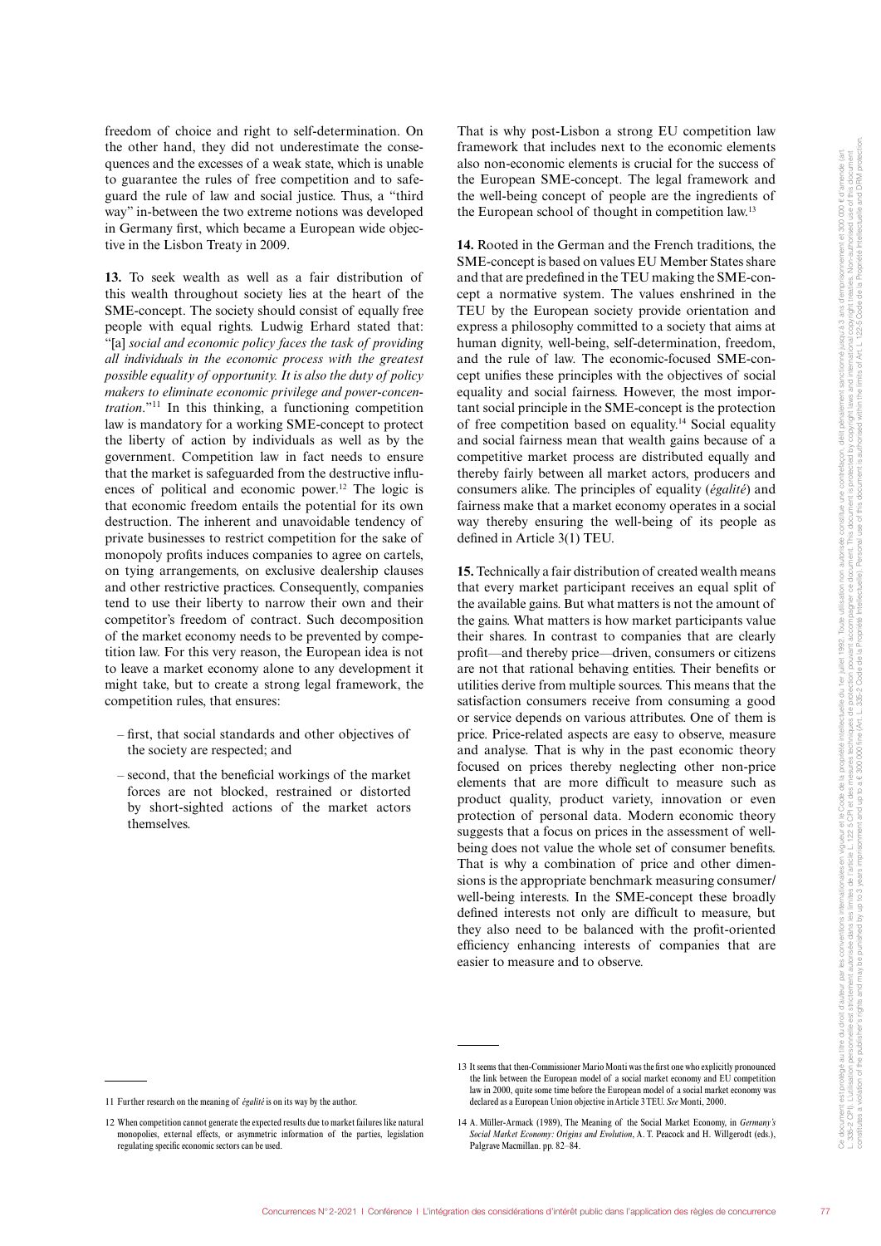freedom of choice and right to self-determination. On the other hand, they did not underestimate the consequences and the excesses of a weak state, which is unable to guarantee the rules of free competition and to safeguard the rule of law and social justice. Thus, a "third way" in-between the two extreme notions was developed in Germany first, which became a European wide objective in the Lisbon Treaty in 2009.

**13.** To seek wealth as well as a fair distribution of this wealth throughout society lies at the heart of the SME-concept. The society should consist of equally free people with equal rights. Ludwig Erhard stated that: "[a] *social and economic policy faces the task of providing all individuals in the economic process with the greatest possible equality of opportunity. It is also the duty of policy makers to eliminate economic privilege and power-concentration*."11 In this thinking, a functioning competition law is mandatory for a working SME-concept to protect the liberty of action by individuals as well as by the government. Competition law in fact needs to ensure that the market is safeguarded from the destructive influences of political and economic power.12 The logic is that economic freedom entails the potential for its own destruction. The inherent and unavoidable tendency of private businesses to restrict competition for the sake of monopoly profits induces companies to agree on cartels, on tying arrangements, on exclusive dealership clauses and other restrictive practices. Consequently, companies tend to use their liberty to narrow their own and their competitor's freedom of contract. Such decomposition of the market economy needs to be prevented by competition law. For this very reason, the European idea is not to leave a market economy alone to any development it might take, but to create a strong legal framework, the competition rules, that ensures:

- first, that social standards and other objectives of the society are respected; and
- second, that the beneficial workings of the market forces are not blocked, restrained or distorted by short-sighted actions of the market actors themselves.

That is why post-Lisbon a strong EU competition law framework that includes next to the economic elements also non-economic elements is crucial for the success of the European SME-concept. The legal framework and the well-being concept of people are the ingredients of the European school of thought in competition law.13

**14.** Rooted in the German and the French traditions, the SME-concept is based on values EU Member States share and that are predefined in the TEU making the SME-concept a normative system. The values enshrined in the TEU by the European society provide orientation and express a philosophy committed to a society that aims at human dignity, well-being, self-determination, freedom, and the rule of law. The economic-focused SME-concept unifies these principles with the objectives of social equality and social fairness. However, the most important social principle in the SME-concept is the protection of free competition based on equality.14 Social equality and social fairness mean that wealth gains because of a competitive market process are distributed equally and thereby fairly between all market actors, producers and consumers alike. The principles of equality (*égalité*) and fairness make that a market economy operates in a social way thereby ensuring the well-being of its people as defined in Article 3(1) TEU.

**15.** Technically a fair distribution of created wealth means that every market participant receives an equal split of the available gains. But what matters is not the amount of the gains. What matters is how market participants value their shares. In contrast to companies that are clearly profit—and thereby price—driven, consumers or citizens are not that rational behaving entities. Their benefits or utilities derive from multiple sources. This means that the satisfaction consumers receive from consuming a good or service depends on various attributes. One of them is price. Price-related aspects are easy to observe, measure and analyse. That is why in the past economic theory focused on prices thereby neglecting other non-price elements that are more difficult to measure such as product quality, product variety, innovation or even protection of personal data. Modern economic theory suggests that a focus on prices in the assessment of wellbeing does not value the whole set of consumer benefits. That is why a combination of price and other dimensions is the appropriate benchmark measuring consumer/ well-being interests. In the SME-concept these broadly defined interests not only are difficult to measure, but they also need to be balanced with the profit-oriented efficiency enhancing interests of companies that are easier to measure and to observe.

<sup>11</sup> Further research on the meaning of *égalité* is on its way by the author.

<sup>12</sup> When competition cannot generate the expected results due to market failures like natural monopolies, external effects, or asymmetric information of the parties, legislation regulating specific economic sectors can be used.

<sup>13</sup> It seems that then-Commissioner Mario Monti was the first one who explicitly pronounced the link between the European model of a social market economy and EU competition law in 2000, quite some time before the European model of a social market economy was declared as a European Union objective in Article 3 TEU. *See* Monti, 2000.

<sup>14</sup> A. Müller-Armack (1989), The Meaning of the Social Market Economy, in *Germany's Social Market Economy: Origins and Evolution*, A. T. Peacock and H. Willgerodt (eds.), Palgrave Macmillan. pp. 82–84.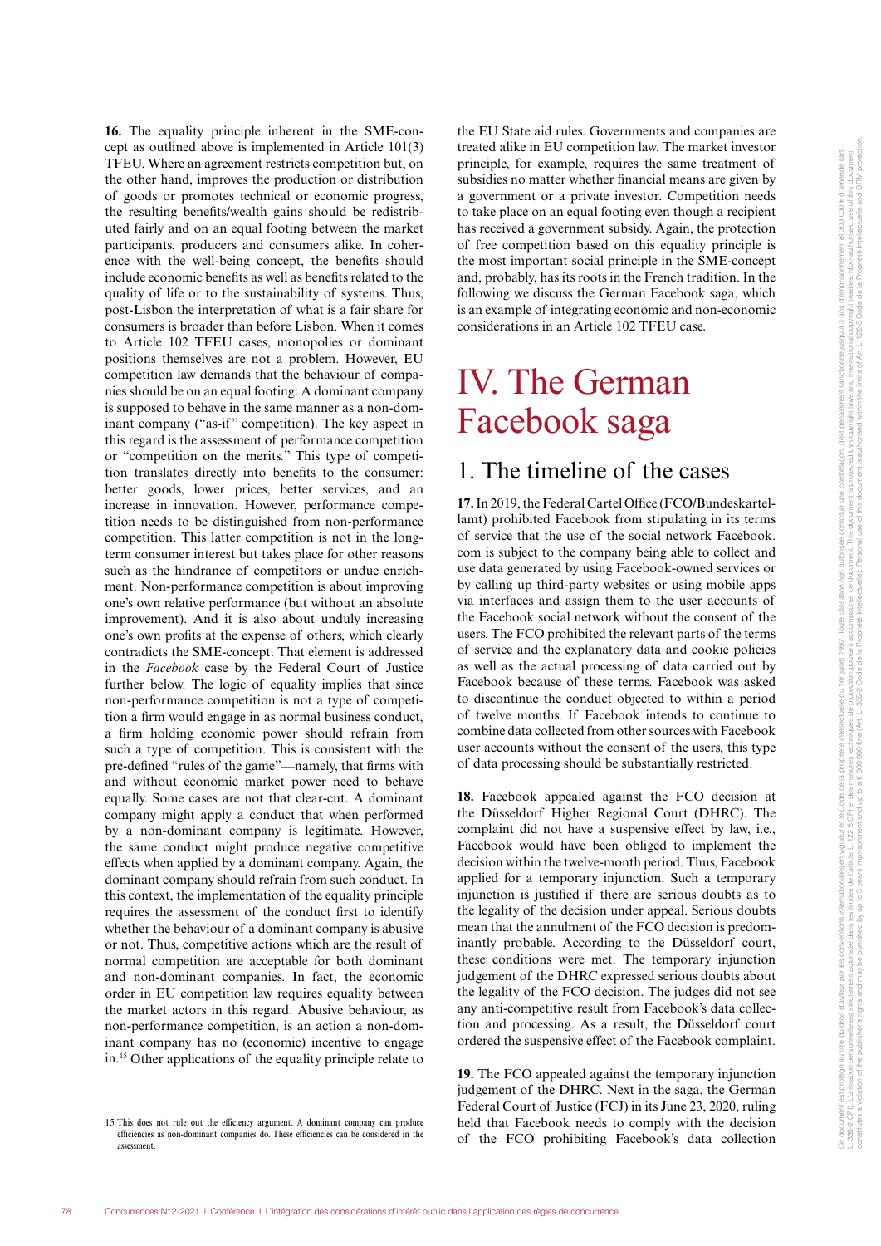**16.** The equality principle inherent in the SME-concept as outlined above is implemented in Article 101(3) TFEU. Where an agreement restricts competition but, on the other hand, improves the production or distribution of goods or promotes technical or economic progress, the resulting benefits/wealth gains should be redistributed fairly and on an equal footing between the market participants, producers and consumers alike. In coherence with the well-being concept, the benefits should include economic benefits as well as benefits related to the quality of life or to the sustainability of systems. Thus, post-Lisbon the interpretation of what is a fair share for consumers is broader than before Lisbon. When it comes to Article 102 TFEU cases, monopolies or dominant positions themselves are not a problem. However, EU competition law demands that the behaviour of companies should be on an equal footing: A dominant company is supposed to behave in the same manner as a non-dominant company ("as-if" competition). The key aspect in this regard is the assessment of performance competition or "competition on the merits." This type of competition translates directly into benefits to the consumer: better goods, lower prices, better services, and an increase in innovation. However, performance competition needs to be distinguished from non-performance competition. This latter competition is not in the longterm consumer interest but takes place for other reasons such as the hindrance of competitors or undue enrichment. Non-performance competition is about improving one's own relative performance (but without an absolute improvement). And it is also about unduly increasing one's own profits at the expense of others, which clearly contradicts the SME-concept. That element is addressed in the *Facebook* case by the Federal Court of Justice further below. The logic of equality implies that since non-performance competition is not a type of competition a firm would engage in as normal business conduct, a firm holding economic power should refrain from such a type of competition. This is consistent with the pre-defined "rules of the game"—namely, that firms with and without economic market power need to behave equally. Some cases are not that clear-cut. A dominant company might apply a conduct that when performed by a non-dominant company is legitimate. However, the same conduct might produce negative competitive effects when applied by a dominant company. Again, the dominant company should refrain from such conduct. In this context, the implementation of the equality principle requires the assessment of the conduct first to identify whether the behaviour of a dominant company is abusive or not. Thus, competitive actions which are the result of normal competition are acceptable for both dominant and non-dominant companies. In fact, the economic order in EU competition law requires equality between the market actors in this regard. Abusive behaviour, as non-performance competition, is an action a non-dominant company has no (economic) incentive to engage in.15 Other applications of the equality principle relate to

the EU State aid rules. Governments and companies are treated alike in EU competition law. The market investor principle, for example, requires the same treatment of subsidies no matter whether financial means are given by a government or a private investor. Competition needs to take place on an equal footing even though a recipient has received a government subsidy. Again, the protection of free competition based on this equality principle is the most important social principle in the SME-concept and, probably, has its roots in the French tradition. In the following we discuss the German Facebook saga, which is an example of integrating economic and non-economic considerations in an Article 102 TFEU case.

## IV. The German Facebook saga

### 1. The timeline of the cases

**17.** In 2019, the Federal Cartel Office (FCO/Bundeskartellamt) prohibited Facebook from stipulating in its terms of service that the use of the social network Facebook. com is subject to the company being able to collect and use data generated by using Facebook-owned services or by calling up third-party websites or using mobile apps via interfaces and assign them to the user accounts of the Facebook social network without the consent of the users. The FCO prohibited the relevant parts of the terms of service and the explanatory data and cookie policies as well as the actual processing of data carried out by Facebook because of these terms. Facebook was asked to discontinue the conduct objected to within a period of twelve months. If Facebook intends to continue to combine data collected from other sources with Facebook user accounts without the consent of the users, this type of data processing should be substantially restricted.

**18.** Facebook appealed against the FCO decision at the Düsseldorf Higher Regional Court (DHRC). The complaint did not have a suspensive effect by law, i.e., Facebook would have been obliged to implement the decision within the twelve-month period. Thus, Facebook applied for a temporary injunction. Such a temporary injunction is justified if there are serious doubts as to the legality of the decision under appeal. Serious doubts mean that the annulment of the FCO decision is predominantly probable. According to the Düsseldorf court, these conditions were met. The temporary injunction judgement of the DHRC expressed serious doubts about the legality of the FCO decision. The judges did not see any anti-competitive result from Facebook's data collection and processing. As a result, the Düsseldorf court ordered the suspensive effect of the Facebook complaint.

**19.** The FCO appealed against the temporary injunction judgement of the DHRC. Next in the saga, the German Federal Court of Justice (FCJ) in its June 23, 2020, ruling held that Facebook needs to comply with the decision of the FCO prohibiting Facebook's data collection

<sup>15</sup> This does not rule out the efficiency argument. A dominant company can produce efficiencies as non-dominant companies do. These efficiencies can be considered in the assessment.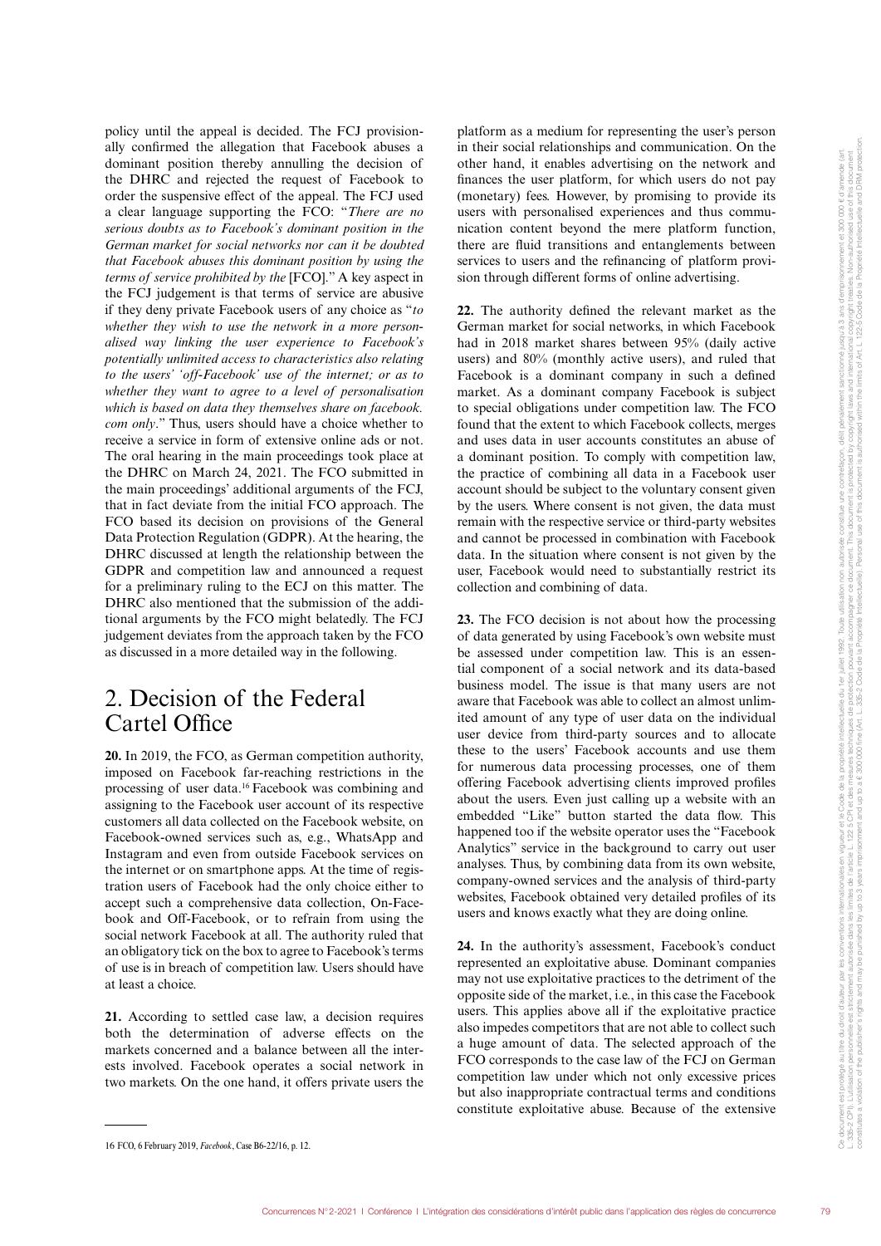policy until the appeal is decided. The FCJ provisionally confirmed the allegation that Facebook abuses a dominant position thereby annulling the decision of the DHRC and rejected the request of Facebook to order the suspensive effect of the appeal. The FCJ used a clear language supporting the FCO: "*There are no serious doubts as to Facebook's dominant position in the German market for social networks nor can it be doubted that Facebook abuses this dominant position by using the terms of service prohibited by the* [FCO]." A key aspect in the FCJ judgement is that terms of service are abusive if they deny private Facebook users of any choice as "*to whether they wish to use the network in a more personalised way linking the user experience to Facebook's potentially unlimited access to characteristics also relating to the users' 'off-Facebook' use of the internet; or as to whether they want to agree to a level of personalisation which is based on data they themselves share on facebook. com only*." Thus, users should have a choice whether to receive a service in form of extensive online ads or not. The oral hearing in the main proceedings took place at the DHRC on March 24, 2021. The FCO submitted in the main proceedings' additional arguments of the FCJ, that in fact deviate from the initial FCO approach. The FCO based its decision on provisions of the General Data Protection Regulation (GDPR). At the hearing, the DHRC discussed at length the relationship between the GDPR and competition law and announced a request for a preliminary ruling to the ECJ on this matter. The DHRC also mentioned that the submission of the additional arguments by the FCO might belatedly. The FCJ judgement deviates from the approach taken by the FCO as discussed in a more detailed way in the following.

#### 2. Decision of the Federal Cartel Office

**20.** In 2019, the FCO, as German competition authority, imposed on Facebook far-reaching restrictions in the processing of user data.16 Facebook was combining and assigning to the Facebook user account of its respective customers all data collected on the Facebook website, on Facebook-owned services such as, e.g., WhatsApp and Instagram and even from outside Facebook services on the internet or on smartphone apps. At the time of registration users of Facebook had the only choice either to accept such a comprehensive data collection, On-Facebook and Off-Facebook, or to refrain from using the social network Facebook at all. The authority ruled that an obligatory tick on the box to agree to Facebook's terms of use is in breach of competition law. Users should have at least a choice.

**21.** According to settled case law, a decision requires both the determination of adverse effects on the markets concerned and a balance between all the interests involved. Facebook operates a social network in two markets. On the one hand, it offers private users the

platform as a medium for representing the user's person in their social relationships and communication. On the other hand, it enables advertising on the network and finances the user platform, for which users do not pay (monetary) fees. However, by promising to provide its users with personalised experiences and thus communication content beyond the mere platform function, there are fluid transitions and entanglements between services to users and the refinancing of platform provision through different forms of online advertising.

**22.** The authority defined the relevant market as the German market for social networks, in which Facebook had in 2018 market shares between 95% (daily active users) and 80% (monthly active users), and ruled that Facebook is a dominant company in such a defined market. As a dominant company Facebook is subject to special obligations under competition law. The FCO found that the extent to which Facebook collects, merges and uses data in user accounts constitutes an abuse of a dominant position. To comply with competition law, the practice of combining all data in a Facebook user account should be subject to the voluntary consent given by the users. Where consent is not given, the data must remain with the respective service or third-party websites and cannot be processed in combination with Facebook data. In the situation where consent is not given by the user, Facebook would need to substantially restrict its collection and combining of data.

**23.** The FCO decision is not about how the processing of data generated by using Facebook's own website must be assessed under competition law. This is an essential component of a social network and its data-based business model. The issue is that many users are not aware that Facebook was able to collect an almost unlimited amount of any type of user data on the individual user device from third-party sources and to allocate these to the users' Facebook accounts and use them for numerous data processing processes, one of them offering Facebook advertising clients improved profiles about the users. Even just calling up a website with an embedded "Like" button started the data flow. This happened too if the website operator uses the "Facebook Analytics" service in the background to carry out user analyses. Thus, by combining data from its own website, company-owned services and the analysis of third-party websites, Facebook obtained very detailed profiles of its users and knows exactly what they are doing online.

**24.** In the authority's assessment, Facebook's conduct represented an exploitative abuse. Dominant companies may not use exploitative practices to the detriment of the opposite side of the market, i.e., in this case the Facebook users. This applies above all if the exploitative practice also impedes competitors that are not able to collect such a huge amount of data. The selected approach of the FCO corresponds to the case law of the FCJ on German competition law under which not only excessive prices but also inappropriate contractual terms and conditions constitute exploitative abuse. Because of the extensive

<sup>16</sup> FCO, 6 February 2019, *Facebook*, Case B6-22/16, p. 12.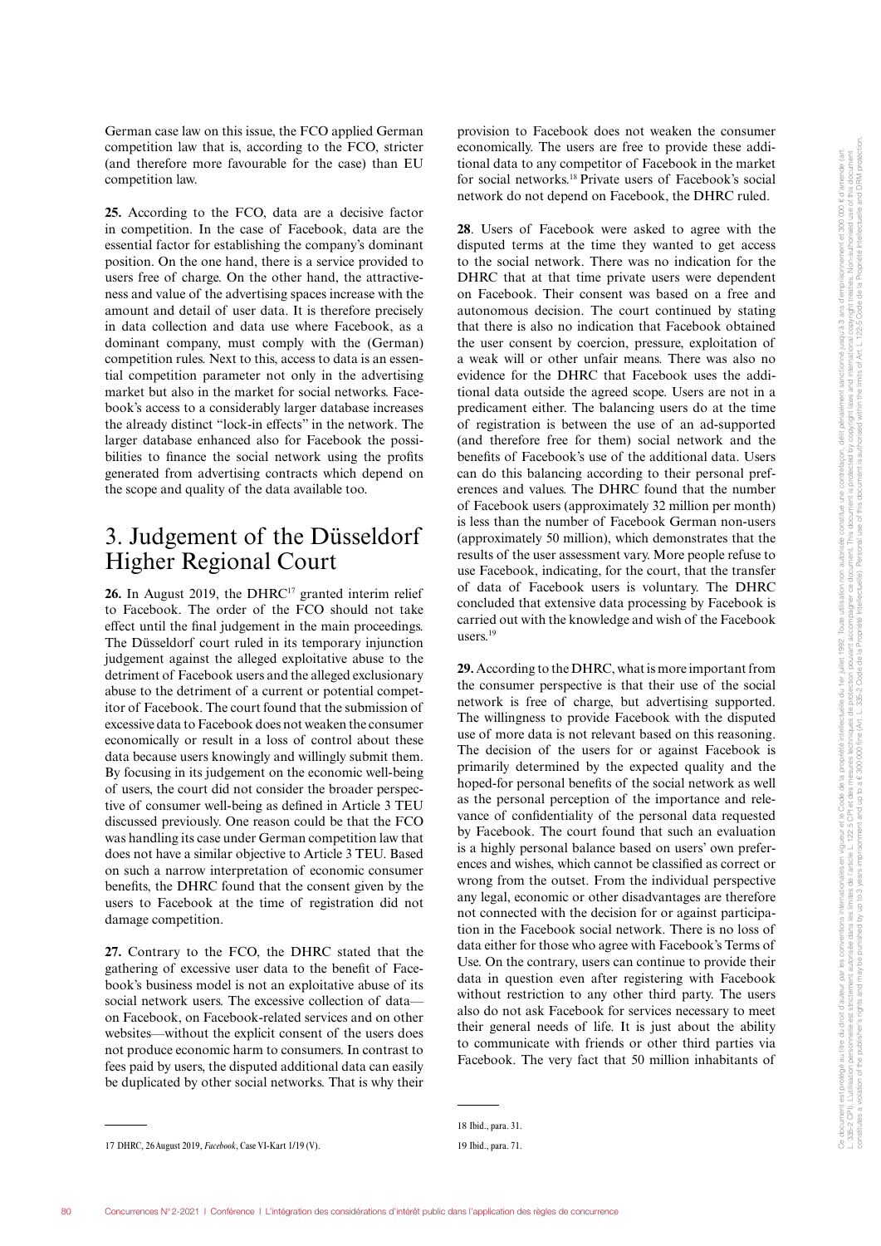German case law on this issue, the FCO applied German competition law that is, according to the FCO, stricter (and therefore more favourable for the case) than EU competition law.

**25.** According to the FCO, data are a decisive factor in competition. In the case of Facebook, data are the essential factor for establishing the company's dominant position. On the one hand, there is a service provided to users free of charge. On the other hand, the attractiveness and value of the advertising spaces increase with the amount and detail of user data. It is therefore precisely in data collection and data use where Facebook, as a dominant company, must comply with the (German) competition rules. Next to this, access to data is an essential competition parameter not only in the advertising market but also in the market for social networks. Facebook's access to a considerably larger database increases the already distinct "lock-in effects" in the network. The larger database enhanced also for Facebook the possibilities to finance the social network using the profits generated from advertising contracts which depend on the scope and quality of the data available too.

#### 3. Judgement of the Düsseldorf Higher Regional Court

26. In August 2019, the DHRC<sup>17</sup> granted interim relief to Facebook. The order of the FCO should not take effect until the final judgement in the main proceedings. The Düsseldorf court ruled in its temporary injunction judgement against the alleged exploitative abuse to the detriment of Facebook users and the alleged exclusionary abuse to the detriment of a current or potential competitor of Facebook. The court found that the submission of excessive data to Facebook does not weaken the consumer economically or result in a loss of control about these data because users knowingly and willingly submit them. By focusing in its judgement on the economic well-being of users, the court did not consider the broader perspective of consumer well-being as defined in Article 3 TEU discussed previously. One reason could be that the FCO was handling its case under German competition law that does not have a similar objective to Article 3 TEU. Based on such a narrow interpretation of economic consumer benefits, the DHRC found that the consent given by the users to Facebook at the time of registration did not damage competition.

**27.** Contrary to the FCO, the DHRC stated that the gathering of excessive user data to the benefit of Facebook's business model is not an exploitative abuse of its social network users. The excessive collection of data on Facebook, on Facebook-related services and on other websites—without the explicit consent of the users does not produce economic harm to consumers. In contrast to fees paid by users, the disputed additional data can easily be duplicated by other social networks. That is why their

**28**. Users of Facebook were asked to agree with the disputed terms at the time they wanted to get access to the social network. There was no indication for the DHRC that at that time private users were dependent on Facebook. Their consent was based on a free and autonomous decision. The court continued by stating that there is also no indication that Facebook obtained the user consent by coercion, pressure, exploitation of a weak will or other unfair means. There was also no evidence for the DHRC that Facebook uses the additional data outside the agreed scope. Users are not in a predicament either. The balancing users do at the time of registration is between the use of an ad-supported (and therefore free for them) social network and the benefits of Facebook's use of the additional data. Users can do this balancing according to their personal preferences and values. The DHRC found that the number of Facebook users (approximately 32 million per month) is less than the number of Facebook German non-users (approximately 50 million), which demonstrates that the results of the user assessment vary. More people refuse to use Facebook, indicating, for the court, that the transfer of data of Facebook users is voluntary. The DHRC concluded that extensive data processing by Facebook is carried out with the knowledge and wish of the Facebook users.19

**29.** According to the DHRC, what is more important from the consumer perspective is that their use of the social network is free of charge, but advertising supported. The willingness to provide Facebook with the disputed use of more data is not relevant based on this reasoning. The decision of the users for or against Facebook is primarily determined by the expected quality and the hoped-for personal benefits of the social network as well as the personal perception of the importance and relevance of confidentiality of the personal data requested by Facebook. The court found that such an evaluation is a highly personal balance based on users' own preferences and wishes, which cannot be classified as correct or wrong from the outset. From the individual perspective any legal, economic or other disadvantages are therefore not connected with the decision for or against participation in the Facebook social network. There is no loss of data either for those who agree with Facebook's Terms of Use. On the contrary, users can continue to provide their data in question even after registering with Facebook without restriction to any other third party. The users also do not ask Facebook for services necessary to meet their general needs of life. It is just about the ability to communicate with friends or other third parties via Facebook. The very fact that 50 million inhabitants of

provision to Facebook does not weaken the consumer economically. The users are free to provide these additional data to any competitor of Facebook in the market for social networks.18 Private users of Facebook's social network do not depend on Facebook, the DHRC ruled.

<sup>17</sup> DHRC, 26 August 2019, *Facebook*, Case VI-Kart 1/19 (V).

<sup>18</sup> Ibid., para. 31.

<sup>19</sup> Ibid., para. 71.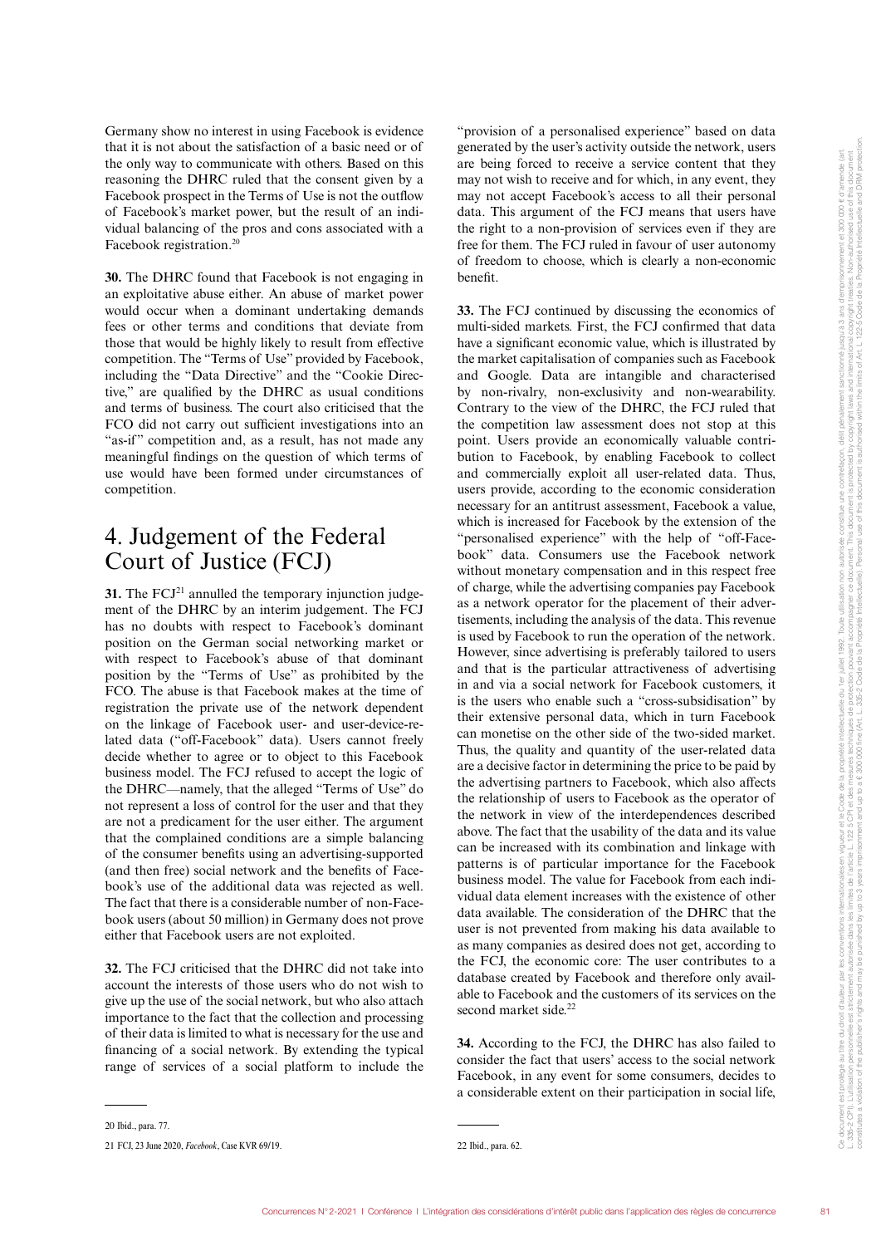Germany show no interest in using Facebook is evidence that it is not about the satisfaction of a basic need or of the only way to communicate with others. Based on this reasoning the DHRC ruled that the consent given by a Facebook prospect in the Terms of Use is not the outflow of Facebook's market power, but the result of an individual balancing of the pros and cons associated with a Facebook registration.20

**30.** The DHRC found that Facebook is not engaging in an exploitative abuse either. An abuse of market power would occur when a dominant undertaking demands fees or other terms and conditions that deviate from those that would be highly likely to result from effective competition. The "Terms of Use" provided by Facebook, including the "Data Directive" and the "Cookie Directive," are qualified by the DHRC as usual conditions and terms of business. The court also criticised that the FCO did not carry out sufficient investigations into an "as-if" competition and, as a result, has not made any meaningful findings on the question of which terms of use would have been formed under circumstances of competition.

#### 4. Judgement of the Federal Court of Justice (FCJ)

**31.** The  $FCJ<sup>21</sup>$  annulled the temporary injunction judgement of the DHRC by an interim judgement. The FCJ has no doubts with respect to Facebook's dominant position on the German social networking market or with respect to Facebook's abuse of that dominant position by the "Terms of Use" as prohibited by the FCO. The abuse is that Facebook makes at the time of registration the private use of the network dependent on the linkage of Facebook user- and user-device-related data ("off-Facebook" data). Users cannot freely decide whether to agree or to object to this Facebook business model. The FCJ refused to accept the logic of the DHRC—namely, that the alleged "Terms of Use" do not represent a loss of control for the user and that they are not a predicament for the user either. The argument that the complained conditions are a simple balancing of the consumer benefits using an advertising-supported (and then free) social network and the benefits of Facebook's use of the additional data was rejected as well. The fact that there is a considerable number of non-Facebook users (about 50 million) in Germany does not prove either that Facebook users are not exploited.

**32.** The FCJ criticised that the DHRC did not take into account the interests of those users who do not wish to give up the use of the social network, but who also attach importance to the fact that the collection and processing of their data is limited to what is necessary for the use and financing of a social network. By extending the typical range of services of a social platform to include the

"provision of a personalised experience" based on data generated by the user's activity outside the network, users are being forced to receive a service content that they may not wish to receive and for which, in any event, they may not accept Facebook's access to all their personal data. This argument of the FCJ means that users have the right to a non-provision of services even if they are free for them. The FCJ ruled in favour of user autonomy of freedom to choose, which is clearly a non-economic benefit.

**33.** The FCJ continued by discussing the economics of multi-sided markets. First, the FCJ confirmed that data have a significant economic value, which is illustrated by the market capitalisation of companies such as Facebook and Google. Data are intangible and characterised by non-rivalry, non-exclusivity and non-wearability. Contrary to the view of the DHRC, the FCJ ruled that the competition law assessment does not stop at this point. Users provide an economically valuable contribution to Facebook, by enabling Facebook to collect and commercially exploit all user-related data. Thus, users provide, according to the economic consideration necessary for an antitrust assessment, Facebook a value, which is increased for Facebook by the extension of the "personalised experience" with the help of "off-Facebook" data. Consumers use the Facebook network without monetary compensation and in this respect free of charge, while the advertising companies pay Facebook as a network operator for the placement of their advertisements, including the analysis of the data. This revenue is used by Facebook to run the operation of the network. However, since advertising is preferably tailored to users and that is the particular attractiveness of advertising in and via a social network for Facebook customers, it is the users who enable such a "cross-subsidisation" by their extensive personal data, which in turn Facebook can monetise on the other side of the two-sided market. Thus, the quality and quantity of the user-related data are a decisive factor in determining the price to be paid by the advertising partners to Facebook, which also affects the relationship of users to Facebook as the operator of the network in view of the interdependences described above. The fact that the usability of the data and its value can be increased with its combination and linkage with patterns is of particular importance for the Facebook business model. The value for Facebook from each individual data element increases with the existence of other data available. The consideration of the DHRC that the user is not prevented from making his data available to as many companies as desired does not get, according to the FCJ, the economic core: The user contributes to a database created by Facebook and therefore only available to Facebook and the customers of its services on the second market side.<sup>22</sup>

**34.** According to the FCJ, the DHRC has also failed to consider the fact that users' access to the social network Facebook, in any event for some consumers, decides to a considerable extent on their participation in social life,

<sup>20</sup> Ibid., para. 77.

<sup>21</sup> FCJ, 23 June 2020, *Facebook*, Case KVR 69/19.

<sup>22</sup> Ibid., para. 62.